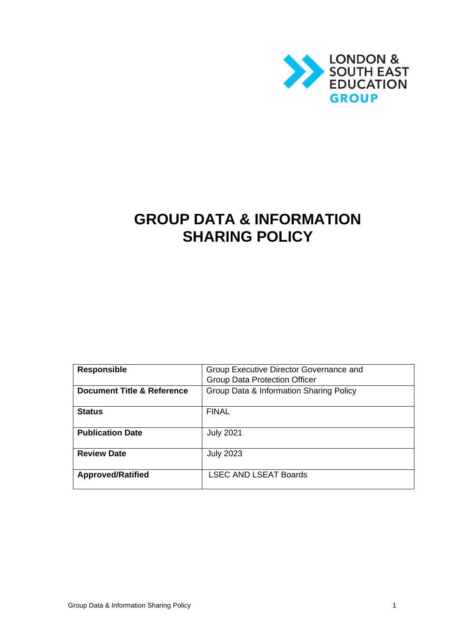

# **GROUP DATA & INFORMATION SHARING POLICY**

| <b>Responsible</b>                    | Group Executive Director Governance and |
|---------------------------------------|-----------------------------------------|
|                                       | <b>Group Data Protection Officer</b>    |
| <b>Document Title &amp; Reference</b> | Group Data & Information Sharing Policy |
|                                       |                                         |
| <b>Status</b>                         | <b>FINAL</b>                            |
|                                       |                                         |
| <b>Publication Date</b>               | <b>July 2021</b>                        |
|                                       |                                         |
| <b>Review Date</b>                    | <b>July 2023</b>                        |
|                                       |                                         |
| <b>Approved/Ratified</b>              | <b>LSEC AND LSEAT Boards</b>            |
|                                       |                                         |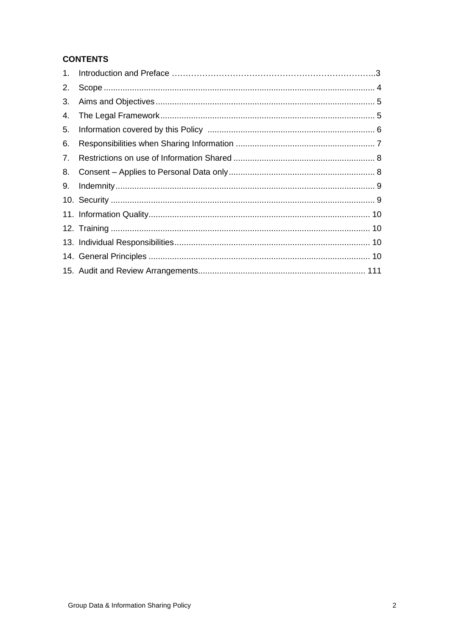# **CONTENTS**

| 2. |  |
|----|--|
|    |  |
| 4. |  |
| 5. |  |
| 6. |  |
| 7. |  |
| 8. |  |
| 9. |  |
|    |  |
|    |  |
|    |  |
|    |  |
|    |  |
|    |  |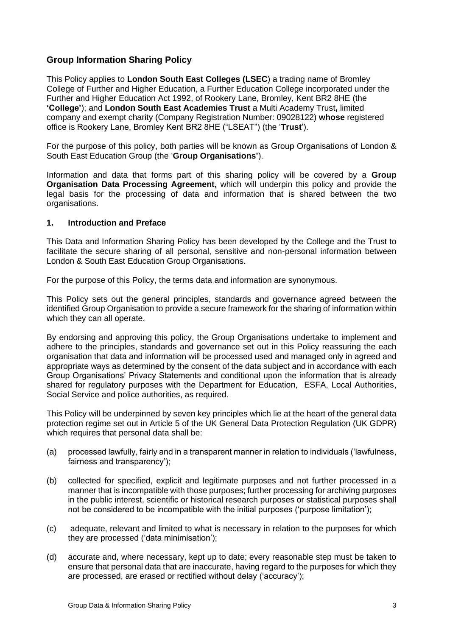# **Group Information Sharing Policy**

This Policy applies to **London South East Colleges (LSEC**) a trading name of Bromley College of Further and Higher Education, a Further Education College incorporated under the Further and Higher Education Act 1992, of Rookery Lane, Bromley, Kent BR2 8HE (the **'College'**); and **London South East Academies Trust** a Multi Academy Trust**,** limited company and exempt charity (Company Registration Number: 09028122) **whose** registered office is Rookery Lane, Bromley Kent BR2 8HE ("LSEAT") (the '**Trust**').

For the purpose of this policy, both parties will be known as Group Organisations of London & South East Education Group (the '**Group Organisations'**).

Information and data that forms part of this sharing policy will be covered by a **Group Organisation Data Processing Agreement,** which will underpin this policy and provide the legal basis for the processing of data and information that is shared between the two organisations.

## <span id="page-2-0"></span>**1. Introduction and Preface**

This Data and Information Sharing Policy has been developed by the College and the Trust to facilitate the secure sharing of all personal, sensitive and non-personal information between London & South East Education Group Organisations.

For the purpose of this Policy, the terms data and information are synonymous.

This Policy sets out the general principles, standards and governance agreed between the identified Group Organisation to provide a secure framework for the sharing of information within which they can all operate.

By endorsing and approving this policy, the Group Organisations undertake to implement and adhere to the principles, standards and governance set out in this Policy reassuring the each organisation that data and information will be processed used and managed only in agreed and appropriate ways as determined by the consent of the data subject and in accordance with each Group Organisations' Privacy Statements and conditional upon the information that is already shared for regulatory purposes with the Department for Education, ESFA, Local Authorities, Social Service and police authorities, as required.

This Policy will be underpinned by seven key principles which lie at the heart of the general data protection regime set out in Article 5 of the UK General Data Protection Regulation (UK GDPR) which requires that personal data shall be:

- (a) processed lawfully, fairly and in a transparent manner in relation to individuals ('lawfulness, fairness and transparency');
- (b) collected for specified, explicit and legitimate purposes and not further processed in a manner that is incompatible with those purposes; further processing for archiving purposes in the public interest, scientific or historical research purposes or statistical purposes shall not be considered to be incompatible with the initial purposes ('purpose limitation');
- (c) adequate, relevant and limited to what is necessary in relation to the purposes for which they are processed ('data minimisation');
- (d) accurate and, where necessary, kept up to date; every reasonable step must be taken to ensure that personal data that are inaccurate, having regard to the purposes for which they are processed, are erased or rectified without delay ('accuracy');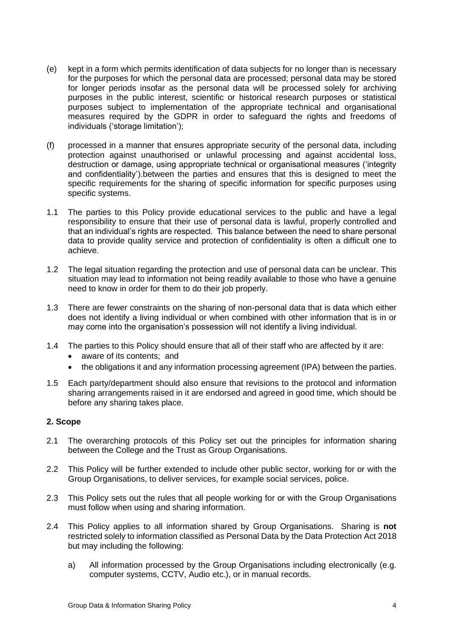- (e) kept in a form which permits identification of data subjects for no longer than is necessary for the purposes for which the personal data are processed; personal data may be stored for longer periods insofar as the personal data will be processed solely for archiving purposes in the public interest, scientific or historical research purposes or statistical purposes subject to implementation of the appropriate technical and organisational measures required by the GDPR in order to safeguard the rights and freedoms of individuals ('storage limitation');
- (f) processed in a manner that ensures appropriate security of the personal data, including protection against unauthorised or unlawful processing and against accidental loss, destruction or damage, using appropriate technical or organisational measures ('integrity and confidentiality').between the parties and ensures that this is designed to meet the specific requirements for the sharing of specific information for specific purposes using specific systems.
- 1.1 The parties to this Policy provide educational services to the public and have a legal responsibility to ensure that their use of personal data is lawful, properly controlled and that an individual's rights are respected. This balance between the need to share personal data to provide quality service and protection of confidentiality is often a difficult one to achieve.
- 1.2 The legal situation regarding the protection and use of personal data can be unclear. This situation may lead to information not being readily available to those who have a genuine need to know in order for them to do their job properly.
- 1.3 There are fewer constraints on the sharing of non-personal data that is data which either does not identify a living individual or when combined with other information that is in or may come into the organisation's possession will not identify a living individual.
- 1.4 The parties to this Policy should ensure that all of their staff who are affected by it are:
	- aware of its contents; and
	- the obligations it and any information processing agreement (IPA) between the parties.
- 1.5 Each party/department should also ensure that revisions to the protocol and information sharing arrangements raised in it are endorsed and agreed in good time, which should be before any sharing takes place.

## <span id="page-3-0"></span>**2. Scope**

- 2.1 The overarching protocols of this Policy set out the principles for information sharing between the College and the Trust as Group Organisations.
- 2.2 This Policy will be further extended to include other public sector, working for or with the Group Organisations, to deliver services, for example social services, police.
- 2.3 This Policy sets out the rules that all people working for or with the Group Organisations must follow when using and sharing information.
- 2.4 This Policy applies to all information shared by Group Organisations. Sharing is **not** restricted solely to information classified as Personal Data by the Data Protection Act 2018 but may including the following:
	- a) All information processed by the Group Organisations including electronically (e.g. computer systems, CCTV, Audio etc.), or in manual records.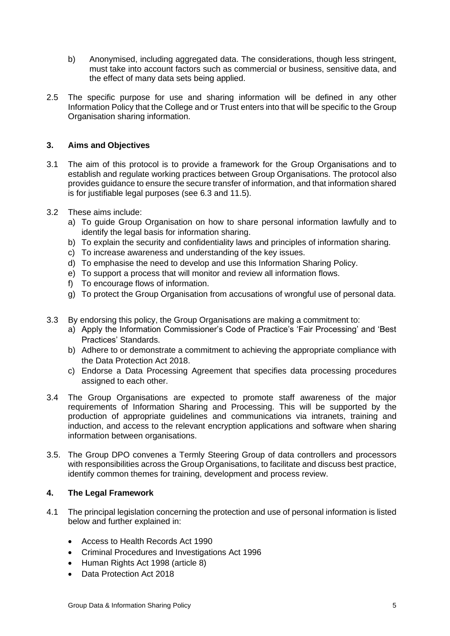- b) Anonymised, including aggregated data. The considerations, though less stringent, must take into account factors such as commercial or business, sensitive data, and the effect of many data sets being applied.
- 2.5 The specific purpose for use and sharing information will be defined in any other Information Policy that the College and or Trust enters into that will be specific to the Group Organisation sharing information.

## <span id="page-4-0"></span>**3. Aims and Objectives**

- 3.1 The aim of this protocol is to provide a framework for the Group Organisations and to establish and regulate working practices between Group Organisations. The protocol also provides guidance to ensure the secure transfer of information, and that information shared is for justifiable legal purposes (see 6.3 and 11.5).
- 3.2 These aims include:
	- a) To guide Group Organisation on how to share personal information lawfully and to identify the legal basis for information sharing.
	- b) To explain the security and confidentiality laws and principles of information sharing.
	- c) To increase awareness and understanding of the key issues.
	- d) To emphasise the need to develop and use this Information Sharing Policy.
	- e) To support a process that will monitor and review all information flows.
	- f) To encourage flows of information.
	- g) To protect the Group Organisation from accusations of wrongful use of personal data.
- 3.3 By endorsing this policy, the Group Organisations are making a commitment to:
	- a) Apply the Information Commissioner's Code of Practice's 'Fair Processing' and 'Best Practices' Standards.
	- b) Adhere to or demonstrate a commitment to achieving the appropriate compliance with the Data Protection Act 2018.
	- c) Endorse a Data Processing Agreement that specifies data processing procedures assigned to each other.
- 3.4 The Group Organisations are expected to promote staff awareness of the major requirements of Information Sharing and Processing. This will be supported by the production of appropriate guidelines and communications via intranets, training and induction, and access to the relevant encryption applications and software when sharing information between organisations.
- 3.5. The Group DPO convenes a Termly Steering Group of data controllers and processors with responsibilities across the Group Organisations, to facilitate and discuss best practice, identify common themes for training, development and process review.

# <span id="page-4-1"></span>**4. The Legal Framework**

- 4.1 The principal legislation concerning the protection and use of personal information is listed below and further explained in:
	- Access to Health Records Act 1990
	- Criminal Procedures and Investigations Act 1996
	- Human Rights Act 1998 (article 8)
	- Data Protection Act 2018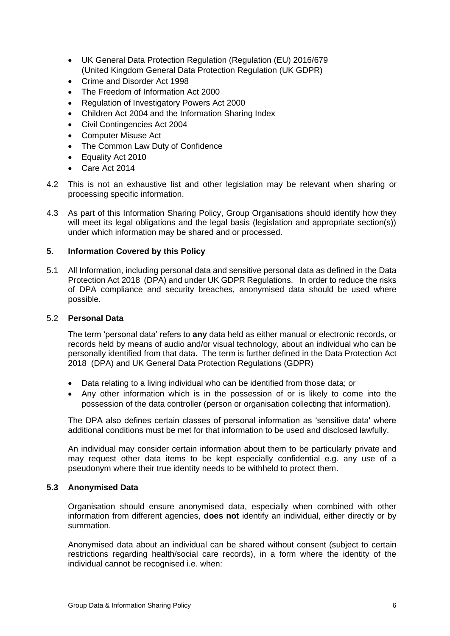- UK General Data Protection Regulation (Regulation (EU) 2016/679 (United Kingdom General Data Protection Regulation (UK GDPR)
- Crime and Disorder Act 1998
- The Freedom of Information Act 2000
- Regulation of Investigatory Powers Act 2000
- Children Act 2004 and the Information Sharing Index
- Civil Contingencies Act 2004
- Computer Misuse Act
- The Common Law Duty of Confidence
- Equality Act 2010
- Care Act 2014
- 4.2 This is not an exhaustive list and other legislation may be relevant when sharing or processing specific information.
- 4.3 As part of this Information Sharing Policy, Group Organisations should identify how they will meet its legal obligations and the legal basis (legislation and appropriate section(s)) under which information may be shared and or processed.

## <span id="page-5-0"></span>**5. Information Covered by this Policy**

5.1 All Information, including personal data and sensitive personal data as defined in the Data Protection Act 2018 (DPA) and under UK GDPR Regulations. In order to reduce the risks of DPA compliance and security breaches, anonymised data should be used where possible.

#### 5.2 **Personal Data**

The term 'personal data' refers to **any** data held as either manual or electronic records, or records held by means of audio and/or visual technology, about an individual who can be personally identified from that data. The term is further defined in the Data Protection Act 2018 (DPA) and UK General Data Protection Regulations (GDPR)

- Data relating to a living individual who can be identified from those data; or
- Any other information which is in the possession of or is likely to come into the possession of the data controller (person or organisation collecting that information).

The DPA also defines certain classes of personal information as 'sensitive data' where additional conditions must be met for that information to be used and disclosed lawfully.

An individual may consider certain information about them to be particularly private and may request other data items to be kept especially confidential e.g. any use of a pseudonym where their true identity needs to be withheld to protect them.

#### **5.3 Anonymised Data**

Organisation should ensure anonymised data, especially when combined with other information from different agencies, **does not** identify an individual, either directly or by summation.

Anonymised data about an individual can be shared without consent (subject to certain restrictions regarding health/social care records), in a form where the identity of the individual cannot be recognised i.e. when: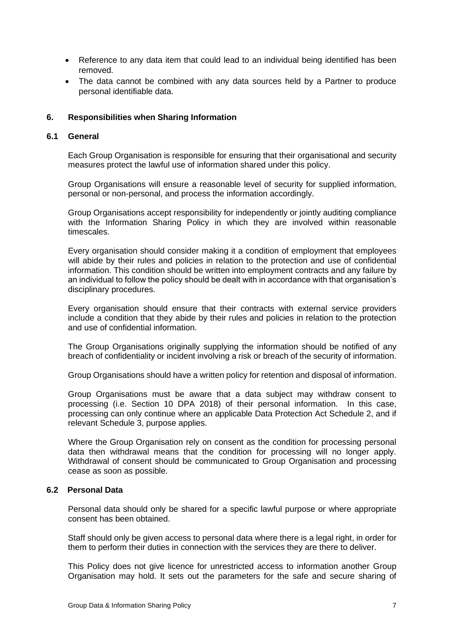- Reference to any data item that could lead to an individual being identified has been removed.
- The data cannot be combined with any data sources held by a Partner to produce personal identifiable data.

### <span id="page-6-0"></span>**6. Responsibilities when Sharing Information**

#### **6.1 General**

Each Group Organisation is responsible for ensuring that their organisational and security measures protect the lawful use of information shared under this policy.

Group Organisations will ensure a reasonable level of security for supplied information, personal or non-personal, and process the information accordingly.

Group Organisations accept responsibility for independently or jointly auditing compliance with the Information Sharing Policy in which they are involved within reasonable timescales.

Every organisation should consider making it a condition of employment that employees will abide by their rules and policies in relation to the protection and use of confidential information. This condition should be written into employment contracts and any failure by an individual to follow the policy should be dealt with in accordance with that organisation's disciplinary procedures.

Every organisation should ensure that their contracts with external service providers include a condition that they abide by their rules and policies in relation to the protection and use of confidential information.

The Group Organisations originally supplying the information should be notified of any breach of confidentiality or incident involving a risk or breach of the security of information.

Group Organisations should have a written policy for retention and disposal of information.

Group Organisations must be aware that a data subject may withdraw consent to processing (i.e. Section 10 DPA 2018) of their personal information. In this case, processing can only continue where an applicable Data Protection Act Schedule 2, and if relevant Schedule 3, purpose applies.

Where the Group Organisation rely on consent as the condition for processing personal data then withdrawal means that the condition for processing will no longer apply. Withdrawal of consent should be communicated to Group Organisation and processing cease as soon as possible.

#### **6.2 Personal Data**

Personal data should only be shared for a specific lawful purpose or where appropriate consent has been obtained.

Staff should only be given access to personal data where there is a legal right, in order for them to perform their duties in connection with the services they are there to deliver.

This Policy does not give licence for unrestricted access to information another Group Organisation may hold. It sets out the parameters for the safe and secure sharing of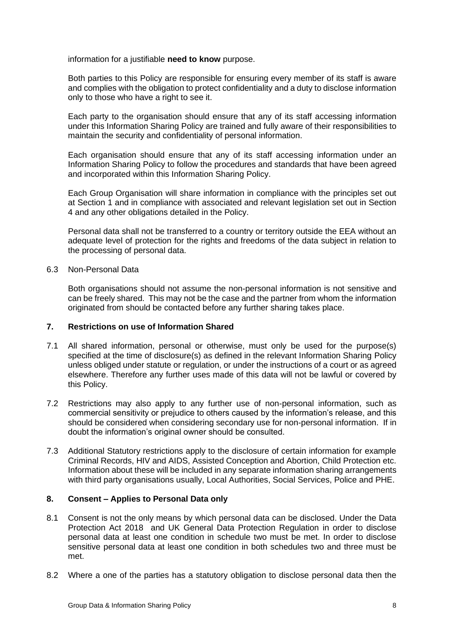information for a justifiable **need to know** purpose.

Both parties to this Policy are responsible for ensuring every member of its staff is aware and complies with the obligation to protect confidentiality and a duty to disclose information only to those who have a right to see it.

Each party to the organisation should ensure that any of its staff accessing information under this Information Sharing Policy are trained and fully aware of their responsibilities to maintain the security and confidentiality of personal information.

Each organisation should ensure that any of its staff accessing information under an Information Sharing Policy to follow the procedures and standards that have been agreed and incorporated within this Information Sharing Policy.

Each Group Organisation will share information in compliance with the principles set out at Section 1 and in compliance with associated and relevant legislation set out in Section 4 and any other obligations detailed in the Policy.

Personal data shall not be transferred to a country or territory outside the EEA without an adequate level of protection for the rights and freedoms of the data subject in relation to the processing of personal data.

#### 6.3 Non-Personal Data

Both organisations should not assume the non-personal information is not sensitive and can be freely shared. This may not be the case and the partner from whom the information originated from should be contacted before any further sharing takes place.

## <span id="page-7-0"></span>**7. Restrictions on use of Information Shared**

- 7.1 All shared information, personal or otherwise, must only be used for the purpose(s) specified at the time of disclosure(s) as defined in the relevant Information Sharing Policy unless obliged under statute or regulation, or under the instructions of a court or as agreed elsewhere. Therefore any further uses made of this data will not be lawful or covered by this Policy.
- 7.2 Restrictions may also apply to any further use of non-personal information, such as commercial sensitivity or prejudice to others caused by the information's release, and this should be considered when considering secondary use for non-personal information. If in doubt the information's original owner should be consulted.
- 7.3 Additional Statutory restrictions apply to the disclosure of certain information for example Criminal Records, HIV and AIDS, Assisted Conception and Abortion, Child Protection etc. Information about these will be included in any separate information sharing arrangements with third party organisations usually, Local Authorities, Social Services, Police and PHE.

## <span id="page-7-1"></span>**8. Consent – Applies to Personal Data only**

- 8.1 Consent is not the only means by which personal data can be disclosed. Under the Data Protection Act 2018 and UK General Data Protection Regulation in order to disclose personal data at least one condition in schedule two must be met. In order to disclose sensitive personal data at least one condition in both schedules two and three must be met.
- 8.2 Where a one of the parties has a statutory obligation to disclose personal data then the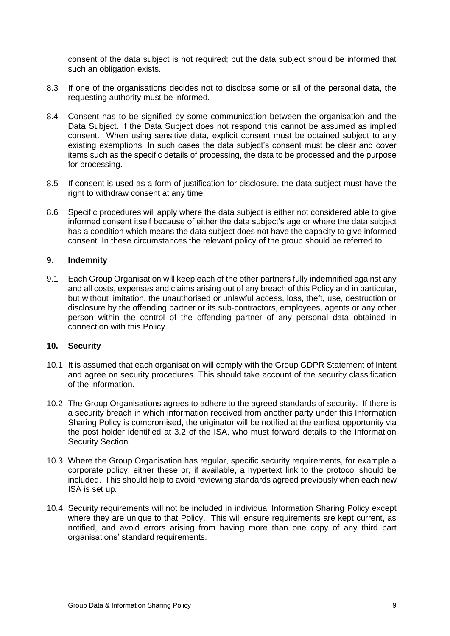consent of the data subject is not required; but the data subject should be informed that such an obligation exists.

- 8.3 If one of the organisations decides not to disclose some or all of the personal data, the requesting authority must be informed.
- 8.4 Consent has to be signified by some communication between the organisation and the Data Subject. If the Data Subject does not respond this cannot be assumed as implied consent. When using sensitive data, explicit consent must be obtained subject to any existing exemptions. In such cases the data subject's consent must be clear and cover items such as the specific details of processing, the data to be processed and the purpose for processing.
- 8.5 If consent is used as a form of justification for disclosure, the data subject must have the right to withdraw consent at any time.
- 8.6 Specific procedures will apply where the data subject is either not considered able to give informed consent itself because of either the data subject's age or where the data subject has a condition which means the data subject does not have the capacity to give informed consent. In these circumstances the relevant policy of the group should be referred to.

#### <span id="page-8-0"></span>**9. Indemnity**

9.1 Each Group Organisation will keep each of the other partners fully indemnified against any and all costs, expenses and claims arising out of any breach of this Policy and in particular, but without limitation, the unauthorised or unlawful access, loss, theft, use, destruction or disclosure by the offending partner or its sub-contractors, employees, agents or any other person within the control of the offending partner of any personal data obtained in connection with this Policy.

#### <span id="page-8-1"></span>**10. Security**

- 10.1 It is assumed that each organisation will comply with the Group GDPR Statement of Intent and agree on security procedures. This should take account of the security classification of the information.
- 10.2 The Group Organisations agrees to adhere to the agreed standards of security. If there is a security breach in which information received from another party under this Information Sharing Policy is compromised, the originator will be notified at the earliest opportunity via the post holder identified at 3.2 of the ISA, who must forward details to the Information Security Section.
- 10.3 Where the Group Organisation has regular, specific security requirements, for example a corporate policy, either these or, if available, a hypertext link to the protocol should be included. This should help to avoid reviewing standards agreed previously when each new ISA is set up.
- 10.4 Security requirements will not be included in individual Information Sharing Policy except where they are unique to that Policy. This will ensure requirements are kept current, as notified, and avoid errors arising from having more than one copy of any third part organisations' standard requirements.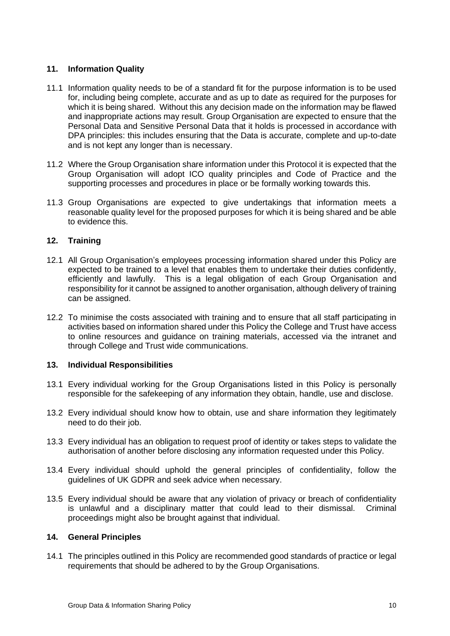## <span id="page-9-0"></span>**11. Information Quality**

- 11.1 Information quality needs to be of a standard fit for the purpose information is to be used for, including being complete, accurate and as up to date as required for the purposes for which it is being shared. Without this any decision made on the information may be flawed and inappropriate actions may result. Group Organisation are expected to ensure that the Personal Data and Sensitive Personal Data that it holds is processed in accordance with DPA principles: this includes ensuring that the Data is accurate, complete and up-to-date and is not kept any longer than is necessary.
- 11.2 Where the Group Organisation share information under this Protocol it is expected that the Group Organisation will adopt ICO quality principles and Code of Practice and the supporting processes and procedures in place or be formally working towards this.
- 11.3 Group Organisations are expected to give undertakings that information meets a reasonable quality level for the proposed purposes for which it is being shared and be able to evidence this.

## <span id="page-9-1"></span>**12. Training**

- 12.1 All Group Organisation's employees processing information shared under this Policy are expected to be trained to a level that enables them to undertake their duties confidently, efficiently and lawfully. This is a legal obligation of each Group Organisation and responsibility for it cannot be assigned to another organisation, although delivery of training can be assigned.
- 12.2 To minimise the costs associated with training and to ensure that all staff participating in activities based on information shared under this Policy the College and Trust have access to online resources and guidance on training materials, accessed via the intranet and through College and Trust wide communications.

## <span id="page-9-2"></span>**13. Individual Responsibilities**

- 13.1 Every individual working for the Group Organisations listed in this Policy is personally responsible for the safekeeping of any information they obtain, handle, use and disclose.
- 13.2 Every individual should know how to obtain, use and share information they legitimately need to do their job.
- 13.3 Every individual has an obligation to request proof of identity or takes steps to validate the authorisation of another before disclosing any information requested under this Policy.
- 13.4 Every individual should uphold the general principles of confidentiality, follow the guidelines of UK GDPR and seek advice when necessary.
- 13.5 Every individual should be aware that any violation of privacy or breach of confidentiality is unlawful and a disciplinary matter that could lead to their dismissal. Criminal proceedings might also be brought against that individual.

## <span id="page-9-3"></span>**14. General Principles**

14.1 The principles outlined in this Policy are recommended good standards of practice or legal requirements that should be adhered to by the Group Organisations.